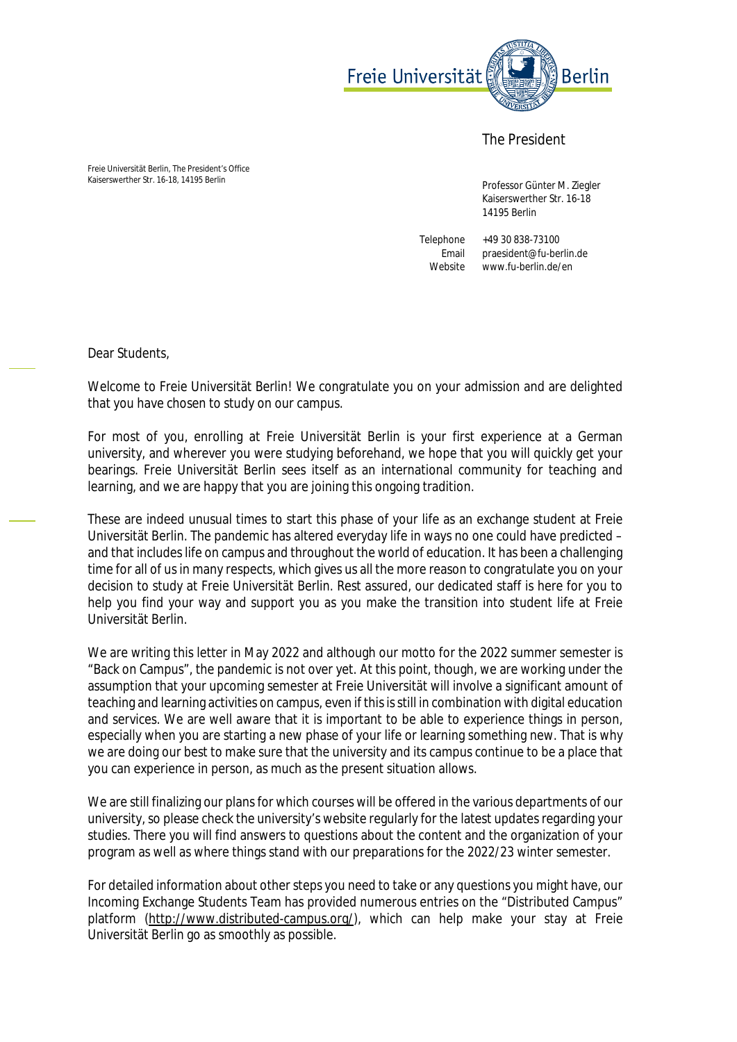

The President

Freie Universität Berlin, The President's Office Kaiserswerther Str. 16-18, 14195 Berlin

 Professor Günter M. Ziegler Kaiserswerther Str. 16-18 14195 Berlin

Telephone +49 30 838-73100 Email praesident@fu-berlin.de Website www.fu-berlin.de/en

Dear Students,

Welcome to Freie Universität Berlin! We congratulate you on your admission and are delighted that you have chosen to study on our campus.

For most of you, enrolling at Freie Universität Berlin is your first experience at a German university, and wherever you were studying beforehand, we hope that you will quickly get your bearings. Freie Universität Berlin sees itself as an international community for teaching and learning, and we are happy that you are joining this ongoing tradition.

These are indeed unusual times to start this phase of your life as an exchange student at Freie Universität Berlin. The pandemic has altered everyday life in ways no one could have predicted – and that includes life on campus and throughout the world of education. It has been a challenging time for all of us in many respects, which gives us all the more reason to congratulate you on your decision to study at Freie Universität Berlin. Rest assured, our dedicated staff is here for you to help you find your way and support you as you make the transition into student life at Freie Universität Berlin.

We are writing this letter in May 2022 and although our motto for the 2022 summer semester is "Back on Campus", the pandemic is not over yet. At this point, though, we are working under the assumption that your upcoming semester at Freie Universität will involve a significant amount of teaching and learning activities on campus, even if this is still in combination with digital education and services. We are well aware that it is important to be able to experience things in person, especially when you are starting a new phase of your life or learning something new. That is why we are doing our best to make sure that the university and its campus continue to be a place that you can experience in person, as much as the present situation allows.

We are still finalizing our plans for which courses will be offered in the various departments of our university, so please check the university's website regularly for the latest updates regarding your studies. There you will find answers to questions about the content and the organization of your program as well as where things stand with our preparations for the 2022/23 winter semester.

For detailed information about other steps you need to take or any questions you might have, our Incoming Exchange Students Team has provided numerous entries on the "Distributed Campus" platform (http://www.distributed-campus.org/), which can help make your stay at Freie Universität Berlin go as smoothly as possible.